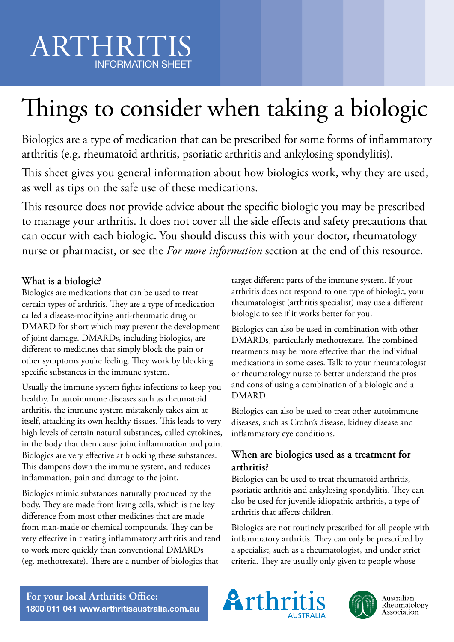# Things to consider when taking a biologic

Biologics are a type of medication that can be prescribed for some forms of inflammatory arthritis (e.g. rheumatoid arthritis, psoriatic arthritis and ankylosing spondylitis).

This sheet gives you general information about how biologics work, why they are used, as well as tips on the safe use of these medications.

This resource does not provide advice about the specific biologic you may be prescribed to manage your arthritis. It does not cover all the side effects and safety precautions that can occur with each biologic. You should discuss this with your doctor, rheumatology nurse or pharmacist, or see the *For more information* section at the end of this resource.

## **What is a biologic?**

Biologics are medications that can be used to treat certain types of arthritis. They are a type of medication called a disease-modifying anti-rheumatic drug or DMARD for short which may prevent the development of joint damage. DMARDs, including biologics, are different to medicines that simply block the pain or other symptoms you're feeling. They work by blocking specific substances in the immune system.

Usually the immune system fights infections to keep you healthy. In autoimmune diseases such as rheumatoid arthritis, the immune system mistakenly takes aim at itself, attacking its own healthy tissues. This leads to very high levels of certain natural substances, called cytokines, in the body that then cause joint inflammation and pain. Biologics are very effective at blocking these substances. This dampens down the immune system, and reduces inflammation, pain and damage to the joint.

Biologics mimic substances naturally produced by the body. They are made from living cells, which is the key difference from most other medicines that are made from man-made or chemical compounds. They can be very effective in treating inflammatory arthritis and tend to work more quickly than conventional DMARDs (eg. methotrexate). There are a number of biologics that

target different parts of the immune system. If your arthritis does not respond to one type of biologic, your rheumatologist (arthritis specialist) may use a different biologic to see if it works better for you.

Biologics can also be used in combination with other DMARDs, particularly methotrexate. The combined treatments may be more effective than the individual medications in some cases. Talk to your rheumatologist or rheumatology nurse to better understand the pros and cons of using a combination of a biologic and a DMARD.

Biologics can also be used to treat other autoimmune diseases, such as Crohn's disease, kidney disease and inflammatory eye conditions.

## **When are biologics used as a treatment for arthritis?**

Biologics can be used to treat rheumatoid arthritis, psoriatic arthritis and ankylosing spondylitis. They can also be used for juvenile idiopathic arthritis, a type of arthritis that affects children.

Biologics are not routinely prescribed for all people with inflammatory arthritis. They can only be prescribed by a specialist, such as a rheumatologist, and under strict criteria. They are usually only given to people whose

**For your local Arthritis Office: 1800 011 041 www.arthritisaustralia.com.au**





Australian<br>Rheumatology Association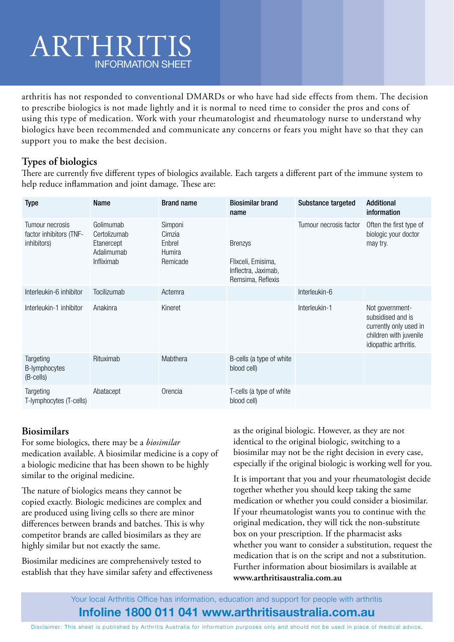arthritis has not responded to conventional DMARDs or who have had side effects from them. The decision to prescribe biologics is not made lightly and it is normal to need time to consider the pros and cons of using this type of medication. Work with your rheumatologist and rheumatology nurse to understand why biologics have been recommended and communicate any concerns or fears you might have so that they can support you to make the best decision.

## **Types of biologics**

There are currently five different types of biologics available. Each targets a different part of the immune system to help reduce inflammation and joint damage. These are:

| <b>Type</b>                                               | <b>Name</b>                                                         | <b>Brand name</b>                                 | <b>Biosimilar brand</b><br>name                                                  | Substance targeted     | <b>Additional</b><br>information                                                                                  |
|-----------------------------------------------------------|---------------------------------------------------------------------|---------------------------------------------------|----------------------------------------------------------------------------------|------------------------|-------------------------------------------------------------------------------------------------------------------|
| Tumour necrosis<br>factor inhibitors (TNF-<br>inhibitors) | Golimumab<br>Certolizumab<br>Etanercept<br>Adalimumab<br>Infliximab | Simponi<br>Cimzia<br>Enbrel<br>Humira<br>Remicade | <b>Brenzys</b><br>Flixceli, Emisima,<br>Inflectra, Jaximab,<br>Remsima, Reflexis | Tumour necrosis factor | Often the first type of<br>biologic your doctor<br>may try.                                                       |
| Interleukin-6 inhibitor                                   | Tocilizumab                                                         | Actemra                                           |                                                                                  | Interleukin-6          |                                                                                                                   |
| Interleukin-1 inhibitor                                   | Anakinra                                                            | Kineret                                           |                                                                                  | Interleukin-1          | Not government-<br>subsidised and is<br>currently only used in<br>children with juvenile<br>idiopathic arthritis. |
| Targeting<br>B-lymphocytes<br>(B-cells)                   | Rituximab                                                           | Mabthera                                          | B-cells (a type of white<br>blood cell)                                          |                        |                                                                                                                   |
| Targeting<br>T-lymphocytes (T-cells)                      | Abatacept                                                           | Orencia                                           | T-cells (a type of white<br>blood cell)                                          |                        |                                                                                                                   |

### **Biosimilars**

For some biologics, there may be a *biosimilar* medication available. A biosimilar medicine is a copy of a biologic medicine that has been shown to be highly similar to the original medicine.

The nature of biologics means they cannot be copied exactly. Biologic medicines are complex and are produced using living cells so there are minor differences between brands and batches. This is why competitor brands are called biosimilars as they are highly similar but not exactly the same.

Biosimilar medicines are comprehensively tested to establish that they have similar safety and effectiveness

as the original biologic. However, as they are not identical to the original biologic, switching to a biosimilar may not be the right decision in every case, especially if the original biologic is working well for you.

It is important that you and your rheumatologist decide together whether you should keep taking the same medication or whether you could consider a biosimilar. If your rheumatologist wants you to continue with the original medication, they will tick the non-substitute box on your prescription. If the pharmacist asks whether you want to consider a substitution, request the medication that is on the script and not a substitution. Further information about biosimilars is available at **www.arthritisaustralia.com.au**

Your local Arthritis Office has information, education and support for people with arthritis

### **Infoline 1800 011 041 www.arthritisaustralia.com.au**

Disclaimer: This sheet is published by Arthritis Australia for information purposes only and should not be used in place of medical advice.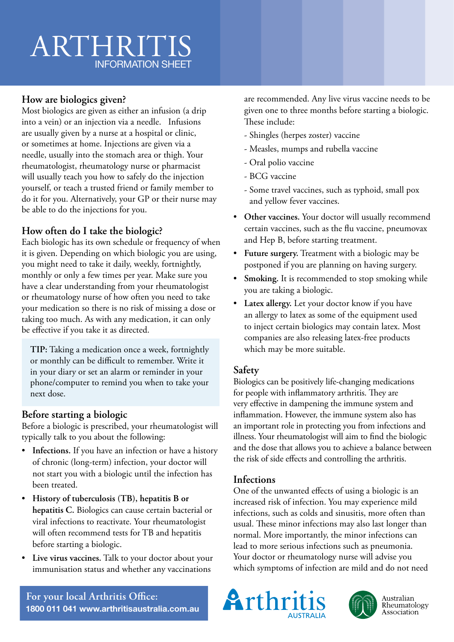## **How are biologics given?**

Most biologics are given as either an infusion (a drip into a vein) or an injection via a needle. Infusions are usually given by a nurse at a hospital or clinic, or sometimes at home. Injections are given via a needle, usually into the stomach area or thigh. Your rheumatologist, rheumatology nurse or pharmacist will usually teach you how to safely do the injection yourself, or teach a trusted friend or family member to do it for you. Alternatively, your GP or their nurse may be able to do the injections for you.

## **How often do I take the biologic?**

Each biologic has its own schedule or frequency of when it is given. Depending on which biologic you are using, you might need to take it daily, weekly, fortnightly, monthly or only a few times per year. Make sure you have a clear understanding from your rheumatologist or rheumatology nurse of how often you need to take your medication so there is no risk of missing a dose or taking too much. As with any medication, it can only be effective if you take it as directed.

**TIP:** Taking a medication once a week, fortnightly or monthly can be difficult to remember. Write it in your diary or set an alarm or reminder in your phone/computer to remind you when to take your next dose.

### **Before starting a biologic**

Before a biologic is prescribed, your rheumatologist will typically talk to you about the following:

- **Infections.** If you have an infection or have a history of chronic (long-term) infection, your doctor will not start you with a biologic until the infection has been treated.
- **History of tuberculosis (TB), hepatitis B or hepatitis C.** Biologics can cause certain bacterial or viral infections to reactivate. Your rheumatologist will often recommend tests for TB and hepatitis before starting a biologic.
- **Live virus vaccines.** Talk to your doctor about your immunisation status and whether any vaccinations

are recommended. Any live virus vaccine needs to be given one to three months before starting a biologic. These include:

- Shingles (herpes zoster) vaccine
- Measles, mumps and rubella vaccine
- Oral polio vaccine
- BCG vaccine
- Some travel vaccines, such as typhoid, small pox and yellow fever vaccines.
- **Other vaccines.** Your doctor will usually recommend certain vaccines, such as the flu vaccine, pneumovax and Hep B, before starting treatment.
- **Future surgery.** Treatment with a biologic may be postponed if you are planning on having surgery.
- **Smoking.** It is recommended to stop smoking while you are taking a biologic.
- **Latex allergy.** Let your doctor know if you have an allergy to latex as some of the equipment used to inject certain biologics may contain latex. Most companies are also releasing latex-free products which may be more suitable.

### **Safety**

Biologics can be positively life-changing medications for people with inflammatory arthritis. They are very effective in dampening the immune system and inflammation. However, the immune system also has an important role in protecting you from infections and illness. Your rheumatologist will aim to find the biologic and the dose that allows you to achieve a balance between the risk of side effects and controlling the arthritis.

#### **Infections**

One of the unwanted effects of using a biologic is an increased risk of infection. You may experience mild infections, such as colds and sinusitis, more often than usual. These minor infections may also last longer than normal. More importantly, the minor infections can lead to more serious infections such as pneumonia. Your doctor or rheumatology nurse will advise you which symptoms of infection are mild and do not need







Australian Rheumatology Association